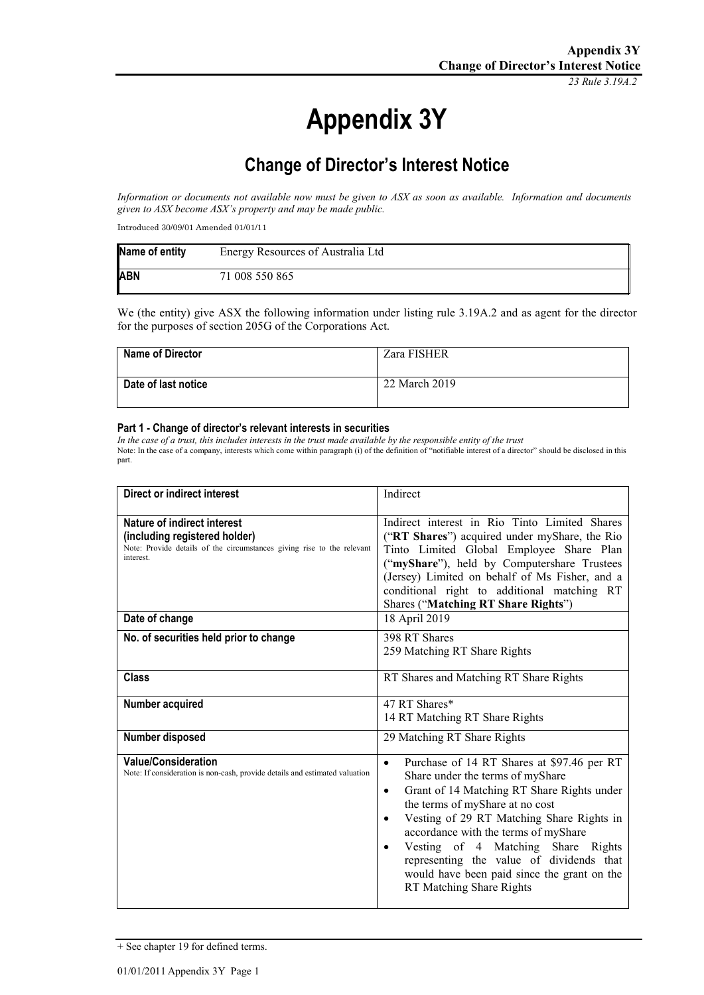*23 Rule 3.19A.2*

# **Appendix 3Y**

# **Change of Director's Interest Notice**

*Information or documents not available now must be given to ASX as soon as available. Information and documents given to ASX become ASX's property and may be made public.*

Introduced 30/09/01 Amended 01/01/11

| Name of entity | Energy Resources of Australia Ltd |
|----------------|-----------------------------------|
| <b>ABN</b>     | 71 008 550 865                    |

We (the entity) give ASX the following information under listing rule 3.19A.2 and as agent for the director for the purposes of section 205G of the Corporations Act.

| <b>Name of Director</b> | Zara FISHER   |
|-------------------------|---------------|
| Date of last notice     | 22 March 2019 |

#### **Part 1 - Change of director's relevant interests in securities**

*In the case of a trust, this includes interests in the trust made available by the responsible entity of the trust* Note: In the case of a company, interests which come within paragraph (i) of the definition of "notifiable interest of a director" should be disclosed in this part.

| <b>Direct or indirect interest</b>                                                                                                                         | Indirect                                                                                                                                                                                                                                                                                                                                                                                                                                              |
|------------------------------------------------------------------------------------------------------------------------------------------------------------|-------------------------------------------------------------------------------------------------------------------------------------------------------------------------------------------------------------------------------------------------------------------------------------------------------------------------------------------------------------------------------------------------------------------------------------------------------|
| <b>Nature of indirect interest</b><br>(including registered holder)<br>Note: Provide details of the circumstances giving rise to the relevant<br>interest. | Indirect interest in Rio Tinto Limited Shares<br>("RT Shares") acquired under myShare, the Rio<br>Tinto Limited Global Employee Share Plan<br>("myShare"), held by Computershare Trustees<br>(Jersey) Limited on behalf of Ms Fisher, and a<br>conditional right to additional matching RT<br>Shares ("Matching RT Share Rights")                                                                                                                     |
| Date of change                                                                                                                                             | 18 April 2019                                                                                                                                                                                                                                                                                                                                                                                                                                         |
| No. of securities held prior to change                                                                                                                     | 398 RT Shares<br>259 Matching RT Share Rights                                                                                                                                                                                                                                                                                                                                                                                                         |
| <b>Class</b>                                                                                                                                               | RT Shares and Matching RT Share Rights                                                                                                                                                                                                                                                                                                                                                                                                                |
| Number acquired                                                                                                                                            | 47 RT Shares*<br>14 RT Matching RT Share Rights                                                                                                                                                                                                                                                                                                                                                                                                       |
| Number disposed                                                                                                                                            | 29 Matching RT Share Rights                                                                                                                                                                                                                                                                                                                                                                                                                           |
| <b>Value/Consideration</b><br>Note: If consideration is non-cash, provide details and estimated valuation                                                  | Purchase of 14 RT Shares at \$97.46 per RT<br>$\bullet$<br>Share under the terms of myShare<br>Grant of 14 Matching RT Share Rights under<br>٠<br>the terms of myShare at no cost<br>Vesting of 29 RT Matching Share Rights in<br>٠<br>accordance with the terms of myShare<br>Vesting of 4 Matching Share Rights<br>$\bullet$<br>representing the value of dividends that<br>would have been paid since the grant on the<br>RT Matching Share Rights |

+ See chapter 19 for defined terms.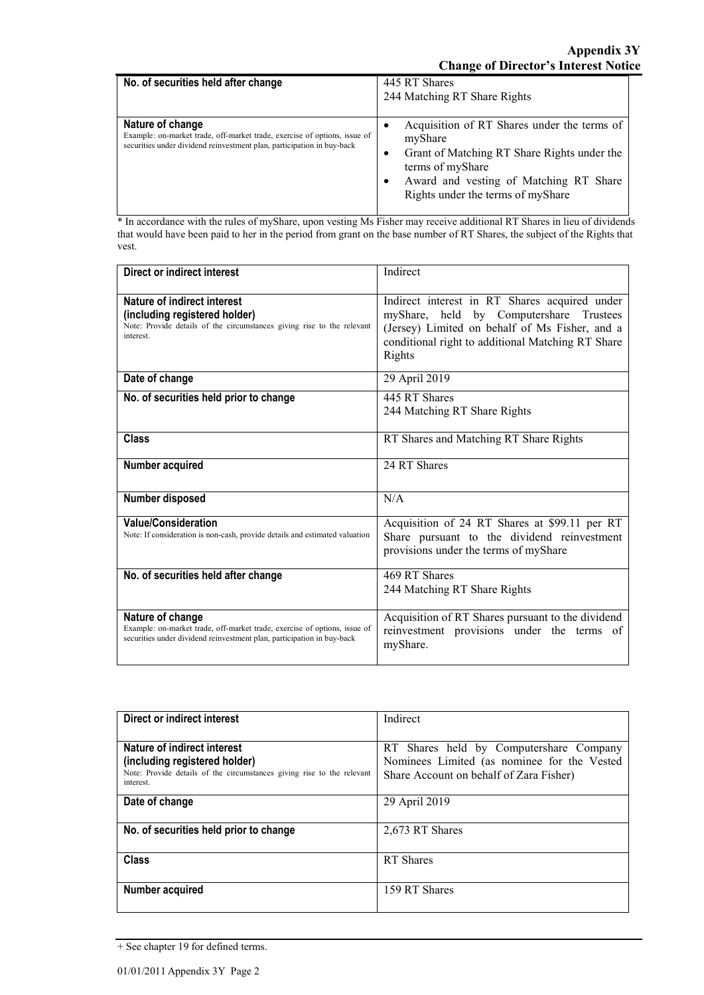| No. of securities held after change                                                                                                                                     | 445 RT Shares<br>244 Matching RT Share Rights                                                                                                                                                            |
|-------------------------------------------------------------------------------------------------------------------------------------------------------------------------|----------------------------------------------------------------------------------------------------------------------------------------------------------------------------------------------------------|
| Nature of change<br>Example: on-market trade, off-market trade, exercise of options, issue of<br>securities under dividend reinvestment plan, participation in buy-back | Acquisition of RT Shares under the terms of<br>myShare<br>Grant of Matching RT Share Rights under the<br>terms of myShare<br>Award and vesting of Matching RT Share<br>Rights under the terms of myShare |

\* In accordance with the rules of myShare, upon vesting Ms Fisher may receive additional RT Shares in lieu of dividends that would have been paid to her in the period from grant on the base number of RT Shares, the subject of the Rights that vest.

| Direct or indirect interest                                                                                                                                             | Indirect                                                                                                                                                                                                  |
|-------------------------------------------------------------------------------------------------------------------------------------------------------------------------|-----------------------------------------------------------------------------------------------------------------------------------------------------------------------------------------------------------|
| Nature of indirect interest<br>(including registered holder)<br>Note: Provide details of the circumstances giving rise to the relevant<br>interest                      | Indirect interest in RT Shares acquired under<br>myShare, held by Computershare Trustees<br>(Jersey) Limited on behalf of Ms Fisher, and a<br>conditional right to additional Matching RT Share<br>Rights |
| Date of change                                                                                                                                                          | 29 April 2019                                                                                                                                                                                             |
| No. of securities held prior to change                                                                                                                                  | 445 RT Shares<br>244 Matching RT Share Rights                                                                                                                                                             |
| <b>Class</b>                                                                                                                                                            | RT Shares and Matching RT Share Rights                                                                                                                                                                    |
| Number acquired                                                                                                                                                         | 24 RT Shares                                                                                                                                                                                              |
| Number disposed                                                                                                                                                         | N/A                                                                                                                                                                                                       |
| <b>Value/Consideration</b><br>Note: If consideration is non-cash, provide details and estimated valuation                                                               | Acquisition of 24 RT Shares at \$99.11 per RT<br>Share pursuant to the dividend reinvestment<br>provisions under the terms of myShare                                                                     |
| No. of securities held after change                                                                                                                                     | 469 RT Shares<br>244 Matching RT Share Rights                                                                                                                                                             |
| Nature of change<br>Example: on-market trade, off-market trade, exercise of options, issue of<br>securities under dividend reinvestment plan, participation in buy-back | Acquisition of RT Shares pursuant to the dividend<br>reinvestment provisions under the terms of<br>myShare.                                                                                               |

| Direct or indirect interest                                                         | Indirect                                    |
|-------------------------------------------------------------------------------------|---------------------------------------------|
|                                                                                     |                                             |
| Nature of indirect interest                                                         | RT Shares held by Computershare Company     |
| (including registered holder)                                                       | Nominees Limited (as nominee for the Vested |
| Note: Provide details of the circumstances giving rise to the relevant<br>interest. | Share Account on behalf of Zara Fisher)     |
| Date of change                                                                      | 29 April 2019                               |
| No. of securities held prior to change                                              | 2,673 RT Shares                             |
| <b>Class</b>                                                                        | RT Shares                                   |
| Number acquired                                                                     | 159 RT Shares                               |

<sup>+</sup> See chapter 19 for defined terms.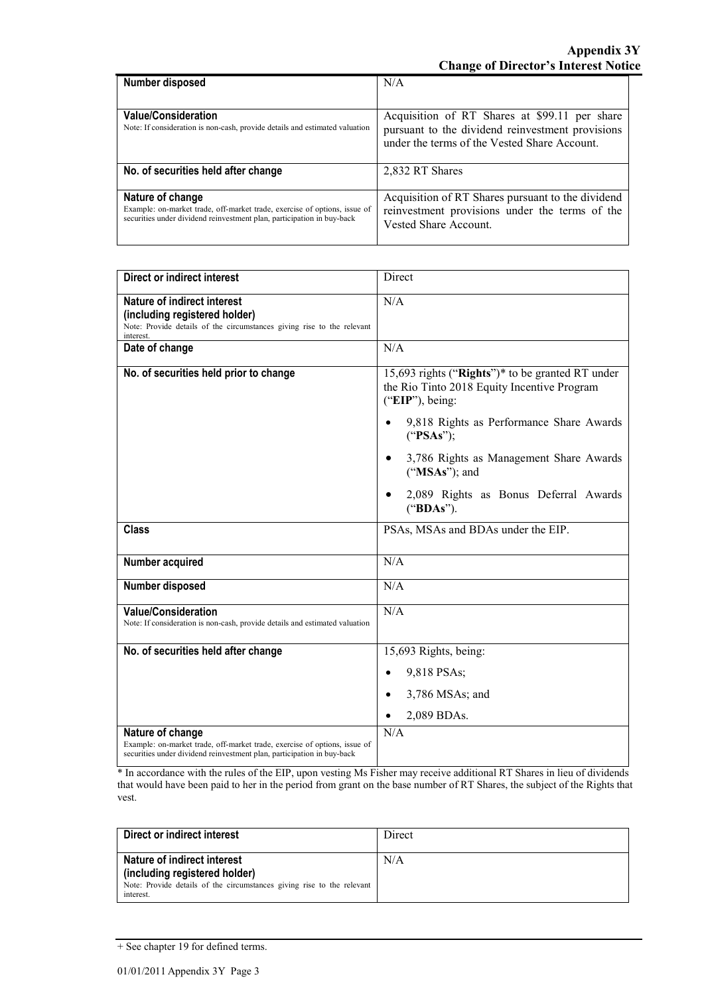| Number disposed                                                                                                                                                         | N/A                                                                                                                                               |
|-------------------------------------------------------------------------------------------------------------------------------------------------------------------------|---------------------------------------------------------------------------------------------------------------------------------------------------|
|                                                                                                                                                                         |                                                                                                                                                   |
| <b>Value/Consideration</b><br>Note: If consideration is non-cash, provide details and estimated valuation                                                               | Acquisition of RT Shares at \$99.11 per share<br>pursuant to the dividend reinvestment provisions<br>under the terms of the Vested Share Account. |
| No. of securities held after change                                                                                                                                     | 2,832 RT Shares                                                                                                                                   |
| Nature of change<br>Example: on-market trade, off-market trade, exercise of options, issue of<br>securities under dividend reinvestment plan, participation in buy-back | Acquisition of RT Shares pursuant to the dividend<br>reinvestment provisions under the terms of the<br>Vested Share Account.                      |

| <b>Direct or indirect interest</b>                                                                                                                                      | Direct                                                                                                             |
|-------------------------------------------------------------------------------------------------------------------------------------------------------------------------|--------------------------------------------------------------------------------------------------------------------|
| Nature of indirect interest<br>(including registered holder)<br>Note: Provide details of the circumstances giving rise to the relevant<br>interest.                     | N/A                                                                                                                |
| Date of change                                                                                                                                                          | N/A                                                                                                                |
| No. of securities held prior to change                                                                                                                                  | 15,693 rights ("Rights")* to be granted RT under<br>the Rio Tinto 2018 Equity Incentive Program<br>("EIP"), being: |
|                                                                                                                                                                         | 9,818 Rights as Performance Share Awards<br>$\bullet$<br>("PSAs");                                                 |
|                                                                                                                                                                         | 3,786 Rights as Management Share Awards<br>$\bullet$<br>("MSAs"); and                                              |
|                                                                                                                                                                         | 2,089 Rights as Bonus Deferral Awards<br>("BDAs").                                                                 |
| <b>Class</b>                                                                                                                                                            | PSAs, MSAs and BDAs under the EIP.                                                                                 |
| Number acquired                                                                                                                                                         | N/A                                                                                                                |
| Number disposed                                                                                                                                                         | N/A                                                                                                                |
| Value/Consideration<br>Note: If consideration is non-cash, provide details and estimated valuation                                                                      | N/A                                                                                                                |
| No. of securities held after change                                                                                                                                     | 15,693 Rights, being:                                                                                              |
|                                                                                                                                                                         | 9,818 PSAs;<br>$\bullet$                                                                                           |
|                                                                                                                                                                         | 3,786 MSAs; and<br>$\bullet$                                                                                       |
|                                                                                                                                                                         | 2,089 BDAs.                                                                                                        |
| Nature of change<br>Example: on-market trade, off-market trade, exercise of options, issue of<br>securities under dividend reinvestment plan, participation in buy-back | N/A                                                                                                                |

\* In accordance with the rules of the EIP, upon vesting Ms Fisher may receive additional RT Shares in lieu of dividends that would have been paid to her in the period from grant on the base number of RT Shares, the subject of the Rights that vest.

| Direct or indirect interest                                                         | Direct |
|-------------------------------------------------------------------------------------|--------|
| Nature of indirect interest<br>(including registered holder)                        | N/A    |
| Note: Provide details of the circumstances giving rise to the relevant<br>interest. |        |

<sup>+</sup> See chapter 19 for defined terms.